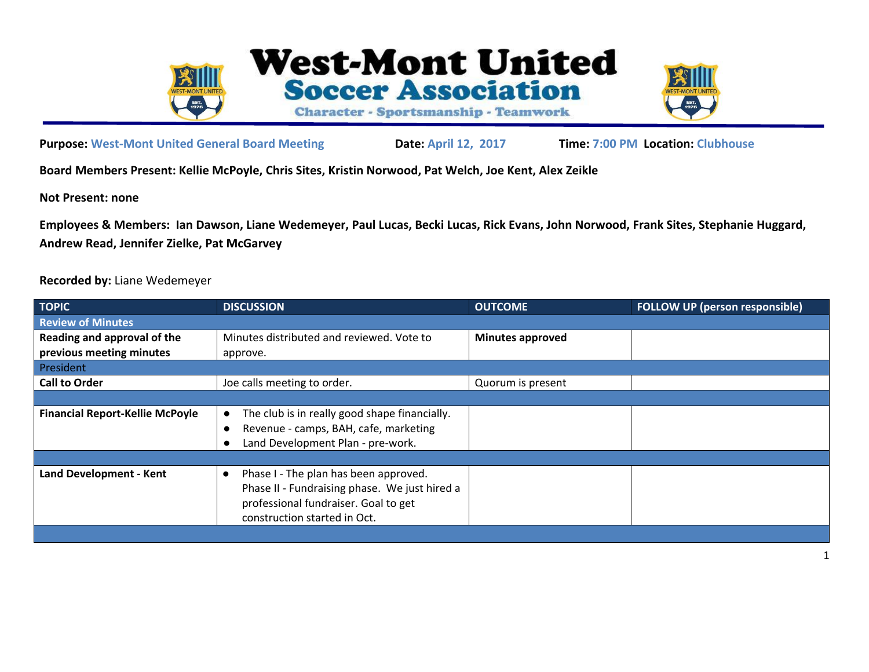



**Purpose: West-Mont United General Board Meeting Date: April 12, 2017 Time: 7:00 PM Location: Clubhouse**

**Board Members Present: Kellie McPoyle, Chris Sites, Kristin Norwood, Pat Welch, Joe Kent, Alex Zeikle**

**Not Present: none**

**Employees & Members: Ian Dawson, Liane Wedemeyer, Paul Lucas, Becki Lucas, Rick Evans, John Norwood, Frank Sites, Stephanie Huggard, Andrew Read, Jennifer Zielke, Pat McGarvey**

## **Recorded by:** Liane Wedemeyer

| <b>TOPIC</b>                           | <b>DISCUSSION</b>                                          | <b>OUTCOME</b>          | <b>FOLLOW UP (person responsible)</b> |  |  |
|----------------------------------------|------------------------------------------------------------|-------------------------|---------------------------------------|--|--|
| <b>Review of Minutes</b>               |                                                            |                         |                                       |  |  |
| Reading and approval of the            | Minutes distributed and reviewed. Vote to                  | <b>Minutes approved</b> |                                       |  |  |
| previous meeting minutes               | approve.                                                   |                         |                                       |  |  |
| President                              |                                                            |                         |                                       |  |  |
| <b>Call to Order</b>                   | Joe calls meeting to order.                                | Quorum is present       |                                       |  |  |
|                                        |                                                            |                         |                                       |  |  |
| <b>Financial Report-Kellie McPoyle</b> | The club is in really good shape financially.<br>$\bullet$ |                         |                                       |  |  |
|                                        | Revenue - camps, BAH, cafe, marketing<br>$\bullet$         |                         |                                       |  |  |
|                                        | Land Development Plan - pre-work.                          |                         |                                       |  |  |
|                                        |                                                            |                         |                                       |  |  |
| <b>Land Development - Kent</b>         | Phase I - The plan has been approved.<br>$\bullet$         |                         |                                       |  |  |
|                                        | Phase II - Fundraising phase. We just hired a              |                         |                                       |  |  |
|                                        | professional fundraiser. Goal to get                       |                         |                                       |  |  |
|                                        | construction started in Oct.                               |                         |                                       |  |  |
|                                        |                                                            |                         |                                       |  |  |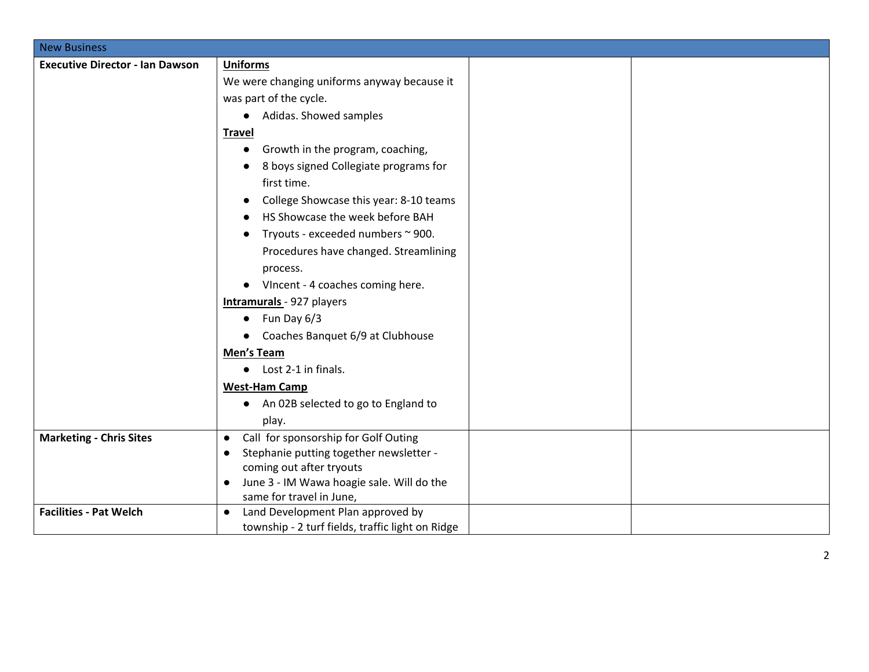| <b>New Business</b>                    |                                                                            |
|----------------------------------------|----------------------------------------------------------------------------|
| <b>Executive Director - Ian Dawson</b> | <b>Uniforms</b>                                                            |
|                                        | We were changing uniforms anyway because it                                |
|                                        | was part of the cycle.                                                     |
|                                        | Adidas. Showed samples<br>$\bullet$                                        |
|                                        | <b>Travel</b>                                                              |
|                                        | Growth in the program, coaching,<br>$\bullet$                              |
|                                        | 8 boys signed Collegiate programs for                                      |
|                                        | first time.                                                                |
|                                        | College Showcase this year: 8-10 teams                                     |
|                                        | HS Showcase the week before BAH                                            |
|                                        | Tryouts - exceeded numbers ~ 900.                                          |
|                                        | Procedures have changed. Streamlining                                      |
|                                        | process.                                                                   |
|                                        | • Vincent - 4 coaches coming here.                                         |
|                                        | Intramurals - 927 players                                                  |
|                                        | Fun Day 6/3<br>$\bullet$                                                   |
|                                        | • Coaches Banquet 6/9 at Clubhouse                                         |
|                                        | Men's Team                                                                 |
|                                        | Lost 2-1 in finals.<br>$\bullet$                                           |
|                                        | <b>West-Ham Camp</b>                                                       |
|                                        | An 02B selected to go to England to<br>$\bullet$                           |
|                                        | play.                                                                      |
| <b>Marketing - Chris Sites</b>         | Call for sponsorship for Golf Outing<br>$\bullet$                          |
|                                        | Stephanie putting together newsletter -<br>$\bullet$                       |
|                                        | coming out after tryouts                                                   |
|                                        | June 3 - IM Wawa hoagie sale. Will do the<br>$\bullet$                     |
| <b>Facilities - Pat Welch</b>          | same for travel in June,<br>Land Development Plan approved by<br>$\bullet$ |
|                                        | township - 2 turf fields, traffic light on Ridge                           |